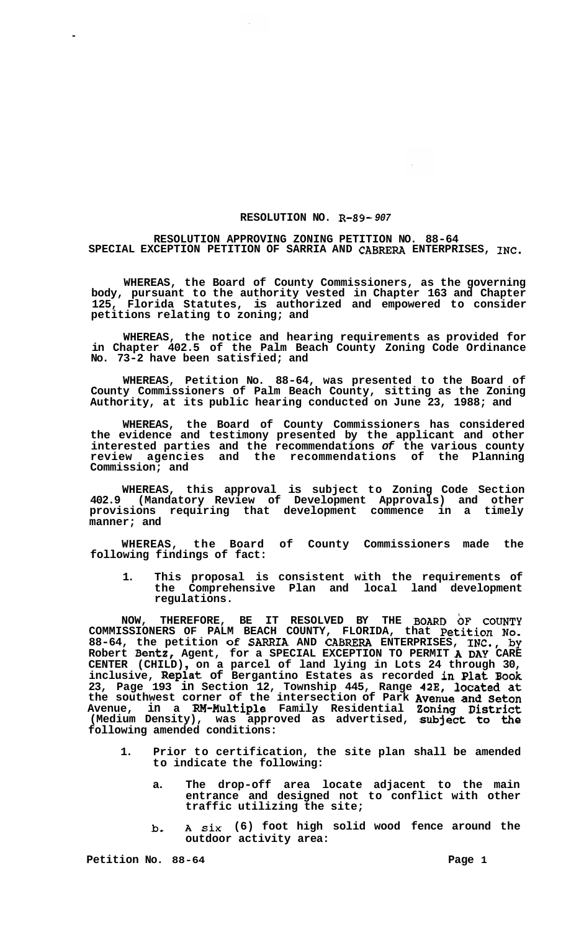## **RESOLUTION NO. R-89-** *907*

## **RESOLUTION APPROVING ZONING PETITION NO. 88-64 SPECIAL EXCEPTION PETITION OF SARRIA AND CABRERA ENTERPRISES, INC.**

**WHEREAS, the Board of County Commissioners, as the governing body, pursuant to the authority vested in Chapter 163 and Chapter 125, Florida Statutes, is authorized and empowered to consider petitions relating to zoning; and** 

**WHEREAS, the notice and hearing requirements as provided for in Chapter 402.5 of the Palm Beach County Zoning Code Ordinance No. 73-2 have been satisfied; and** 

**WHEREAS, Petition No. 88-64, was presented to the Board of County Commissioners of Palm Beach County, sitting as the Zoning Authority, at its public hearing conducted on June 23, 1988; and** 

**WHEREAS, the Board of County Commissioners has considered the evidence and testimony presented by the applicant and other interested parties and the recommendations** *of* **the various county review agencies and the recommendations of the Planning Commission; and** 

**WHEREAS, this approval is subject to Zoning Code Section 402.9 (Mandatory Review of Development Approvals) and other provisions requiring that development commence in a timely manner; and** 

**WHEREAS, the Board of County Commissioners made the following findings of fact:** 

**1. This proposal is consistent with the requirements of the Comprehensive Plan and local land development regulations.** 

**NOW, THEREFORE, BE IT RESOLVED BY THE BOARD OF COUNTY COMMISSIONERS OF PALM BEACH COUNTY, FLORIDA, that Petition No. 88-64, the petition of SARRIA AND CABRERA ENTERPRISES, INC., by Robert Bentz, Agent, for a SPECIAL EXCEPTION TO PERMIT A DAY CARE**  Robert Bentz, Agent, for a SPECIAL EXCEPTION TO PERMIT **A DAY** CARE CENTER (CHILD), on a parcel of land lying in Lots 24 through 30, **inclusive, Replat of Bergantino Estates as recorded in Plat Book 23, Page 193 in Section 12, Township 445, Range 42E, located at the southwest corner of the intersection of Park Avenue and Seton Avenue, in a RM-Multiple Family Residential Zoning District (Medium Density), was approved as advertised, subject to the following amended conditions:** 

- **1. Prior to certification, the site plan shall be amended to indicate the following:** 
	- **a. The drop-off area locate adjacent to the main entrance and designed not to conflict with other traffic utilizing the site;**
	- **b, A six (6) foot high solid wood fence around the outdoor activity area:**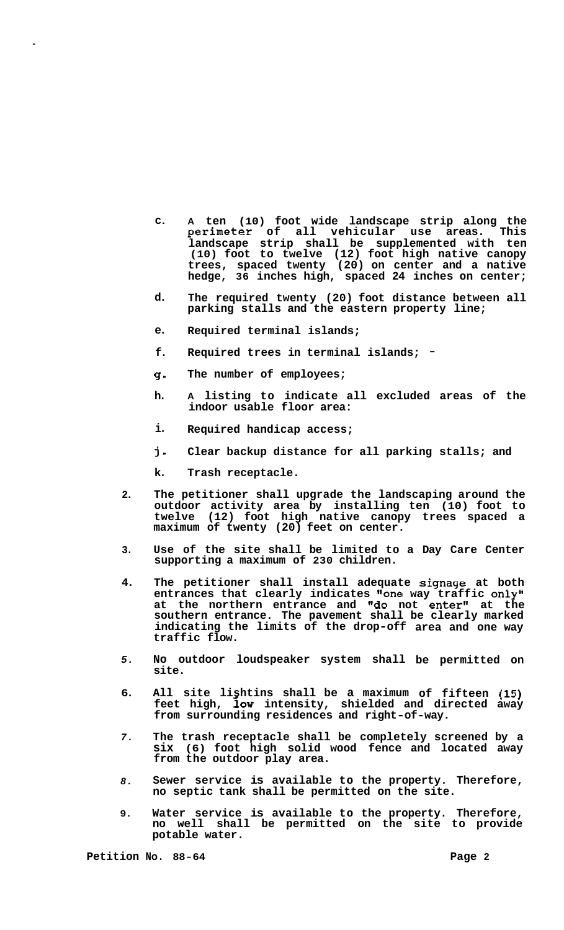- **C. A ten (10) foot wide landscape strip along the perimeter of all vehicular use areas. This landscape strip shall be supplemented with ten (10) foot to twelve (12) foot high native canopy trees, spaced twenty (20) on center and a native hedge, 36 inches high, spaced 24 inches on center;**
- **d. The required twenty (20) foot distance between all parking stalls and the eastern property line;**
- **e. Required terminal islands;**
- **f. Required trees in terminal islands;** -
- **g-The number of employees;**
- **h. A listing to indicate all excluded areas of the indoor usable floor area:**
- **i. Required handicap access;**
- **j-Clear backup distance for all parking stalls; and**
- **k. Trash receptacle.**
- **2. The petitioner shall upgrade the landscaping around the outdoor activity area by installing ten (10) foot to twelve (12) foot high native canopy trees spaced a maximum of twenty (20) feet on center.**
- **3. Use of the site shall be limited to a Day Care Center supporting a maximum of 230 children.**
- **4. The petitioner shall install adequate signage at both entrances that clearly indicates "one way traffic only" at the northern entrance and "do not enter" at the southern entrance. The pavement shall be clearly marked indicating the limits of the drop-off area and one way traffic flow.**
- *5.*  **No outdoor loudspeaker system shall be permitted on site.**
- **6. All site lishtins shall be a maximum of fifteen (15)**  feet high, low intensity, shielded and directed away **from surrounding residences and right-of-way.**
- *7.*  **The trash receptacle shall be completely screened by a six (6) foot high solid wood fence and located away from the outdoor play area.**
- *8.*  **Sewer service is available to the property. Therefore, no septic tank shall be permitted on the site.**
- **9. Water service is available to the property. Therefore, no well shall be permitted on the site to provide potable water.**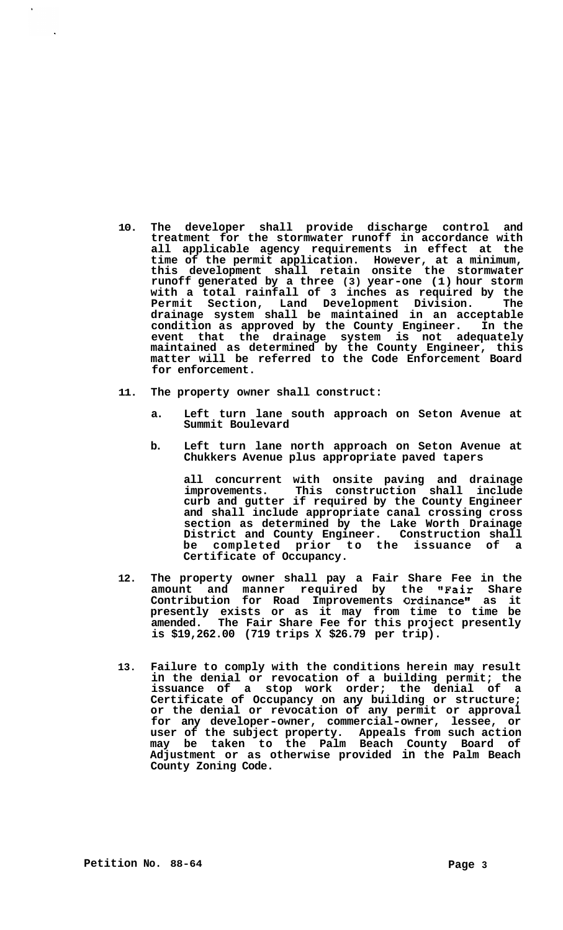- **10. The developer shall provide discharge control and treatment for the stormwater runoff in accordance with all applicable agency requirements in effect at the time of the permit application. However, at a minimum, this development shall retain onsite the stormwater runoff generated by a three (3) year-one (1) hour storm with a total rainfall of 3 inches as required by the Permit Section, Land Development Division. The drainage system shall be maintained in an acceptable condition as approved by the County Engineer. In the event that the drainage system is not adequately maintained as determined by the County Engineer, this matter will be referred to the Code Enforcement Board for enforcement.**
- **11. The property owner shall construct:** 
	- **a. Left turn lane south approach on Seton Avenue at Summit Boulevard**
	- **b. Left turn lane north approach on Seton Avenue at Chukkers Avenue plus appropriate paved tapers**

**all concurrent with onsite paving and drainage improvements. This construction shall include curb and gutter if required by the County Engineer and shall include appropriate canal crossing cross section as determined by the Lake Worth Drainage District and County Engineer. Construction shall**  be completed prior to the issuance of **Certificate of Occupancy.** 

- **12. The property owner shall pay a Fair Share Fee in the amount and manner required by the "Fair Share Contribution for Road Improvements Ordinance" as it presently exists or as it may from time to time be amended. The Fair Share Fee for this project presently is \$19,262.00 (719 trips X \$26.79 per trip).**
- **13. Failure to comply with the conditions herein may result in the denial or revocation of a building permit; the issuance of a stop work order; the denial of a Certificate of Occupancy on any building or structure; or the denial or revocation of any permit or approval for any developer-owner, commercial-owner, lessee, or user of the subject property. Appeals from such action may be taken to the Palm Beach County Board of Adjustment or as otherwise provided in the Palm Beach County Zoning Code.**

 $\mathbf{r}$ 

 $\ddot{\phantom{a}}$